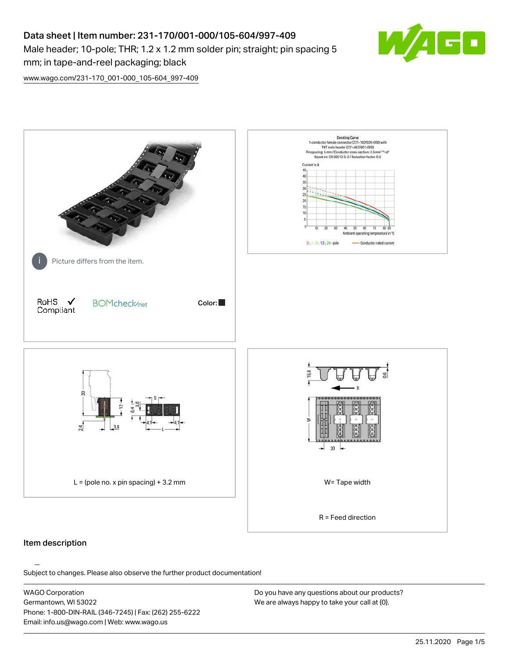# Data sheet | Item number: 231-170/001-000/105-604/997-409 Male header; 10-pole; THR; 1.2 x 1.2 mm solder pin; straight; pin spacing 5 mm; in tape-and-reel packaging; black



[www.wago.com/231-170\\_001-000\\_105-604\\_997-409](http://www.wago.com/231-170_001-000_105-604_997-409)



#### Item description

Subject to changes. Please also observe the further product documentation!

WAGO Corporation Germantown, WI 53022 Phone: 1-800-DIN-RAIL (346-7245) | Fax: (262) 255-6222 Email: info.us@wago.com | Web: www.wago.us

Do you have any questions about our products? We are always happy to take your call at {0}.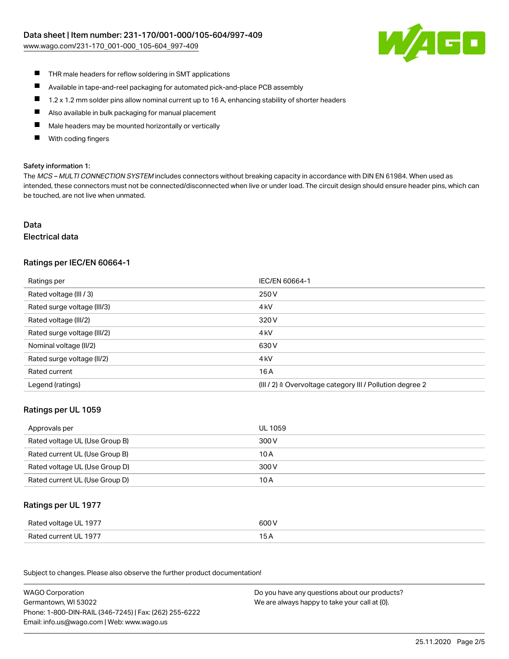[www.wago.com/231-170\\_001-000\\_105-604\\_997-409](http://www.wago.com/231-170_001-000_105-604_997-409)



- $\blacksquare$ THR male headers for reflow soldering in SMT applications
- $\blacksquare$ Available in tape-and-reel packaging for automated pick-and-place PCB assembly
- $\blacksquare$ 1.2 x 1.2 mm solder pins allow nominal current up to 16 A, enhancing stability of shorter headers
- $\blacksquare$ Also available in bulk packaging for manual placement
- П Male headers may be mounted horizontally or vertically
- With coding fingers П

#### Safety information 1:

The MCS - MULTI CONNECTION SYSTEM includes connectors without breaking capacity in accordance with DIN EN 61984. When used as intended, these connectors must not be connected/disconnected when live or under load. The circuit design should ensure header pins, which can be touched, are not live when unmated.

# Data

#### Electrical data

# Ratings per IEC/EN 60664-1

| Ratings per                 | IEC/EN 60664-1                                            |
|-----------------------------|-----------------------------------------------------------|
| Rated voltage (III / 3)     | 250 V                                                     |
| Rated surge voltage (III/3) | 4 <sub>k</sub> V                                          |
| Rated voltage (III/2)       | 320 V                                                     |
| Rated surge voltage (III/2) | 4 <sub>k</sub> V                                          |
| Nominal voltage (II/2)      | 630 V                                                     |
| Rated surge voltage (II/2)  | 4 <sub>k</sub> V                                          |
| Rated current               | 16 A                                                      |
| Legend (ratings)            | (III / 2) ≙ Overvoltage category III / Pollution degree 2 |

#### Ratings per UL 1059

| Approvals per                  | UL 1059 |
|--------------------------------|---------|
| Rated voltage UL (Use Group B) | 300 V   |
| Rated current UL (Use Group B) | 10 A    |
| Rated voltage UL (Use Group D) | 300 V   |
| Rated current UL (Use Group D) | 10 A    |

#### Ratings per UL 1977

| Rated voltage UL 1977 | 600 V |
|-----------------------|-------|
| Rated current UL 1977 |       |

Subject to changes. Please also observe the further product documentation! Ratings per CSA

| <b>WAGO Corporation</b>                                | Do you have any questions about our products? |
|--------------------------------------------------------|-----------------------------------------------|
| Germantown, WI 53022                                   | We are always happy to take your call at {0}. |
| Phone: 1-800-DIN-RAIL (346-7245)   Fax: (262) 255-6222 |                                               |
| Email: info.us@wago.com   Web: www.wago.us             |                                               |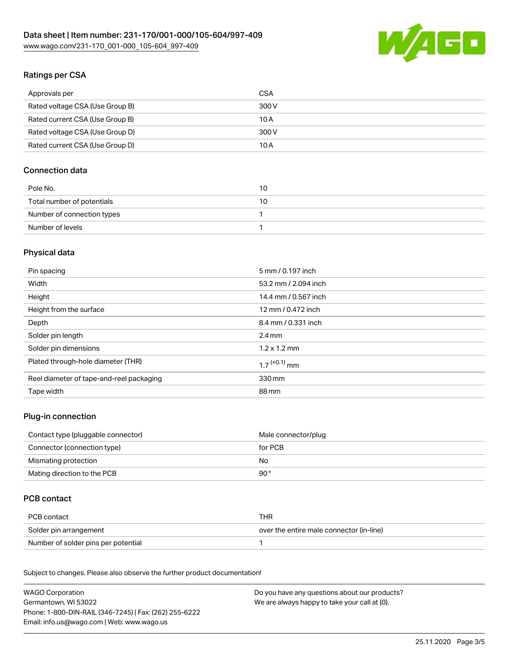

# Ratings per CSA

| Approvals per                   | CSA   |
|---------------------------------|-------|
| Rated voltage CSA (Use Group B) | 300 V |
| Rated current CSA (Use Group B) | 10 A  |
| Rated voltage CSA (Use Group D) | 300 V |
| Rated current CSA (Use Group D) | 10 A  |

# Connection data

| Pole No.                   | 10 |
|----------------------------|----|
| Total number of potentials | 10 |
| Number of connection types |    |
| Number of levels           |    |

# Physical data

| Pin spacing                              | 5 mm / 0.197 inch          |
|------------------------------------------|----------------------------|
| Width                                    | 53.2 mm / 2.094 inch       |
| Height                                   | 14.4 mm / 0.567 inch       |
| Height from the surface                  | 12 mm / 0.472 inch         |
| Depth                                    | 8.4 mm / 0.331 inch        |
| Solder pin length                        | $2.4 \text{ mm}$           |
| Solder pin dimensions                    | $1.2 \times 1.2$ mm        |
| Plated through-hole diameter (THR)       | $1.7$ <sup>(+0.1)</sup> mm |
| Reel diameter of tape-and-reel packaging | 330 mm                     |
| Tape width                               | 88 mm                      |

# Plug-in connection

| Contact type (pluggable connector) | Male connector/plug |
|------------------------------------|---------------------|
| Connector (connection type)        | for PCB             |
| Mismating protection               | No                  |
| Mating direction to the PCB        | 90°                 |

# PCB contact

| PCB contact                         | THR                                      |
|-------------------------------------|------------------------------------------|
| Solder pin arrangement              | over the entire male connector (in-line) |
| Number of solder pins per potential |                                          |

Subject to changes. Please also observe the further product documentation! Material Data

| <b>WAGO Corporation</b>                                | Do you have any questions about our products? |
|--------------------------------------------------------|-----------------------------------------------|
| Germantown, WI 53022                                   | We are always happy to take your call at {0}. |
| Phone: 1-800-DIN-RAIL (346-7245)   Fax: (262) 255-6222 |                                               |
| Email: info.us@wago.com   Web: www.wago.us             |                                               |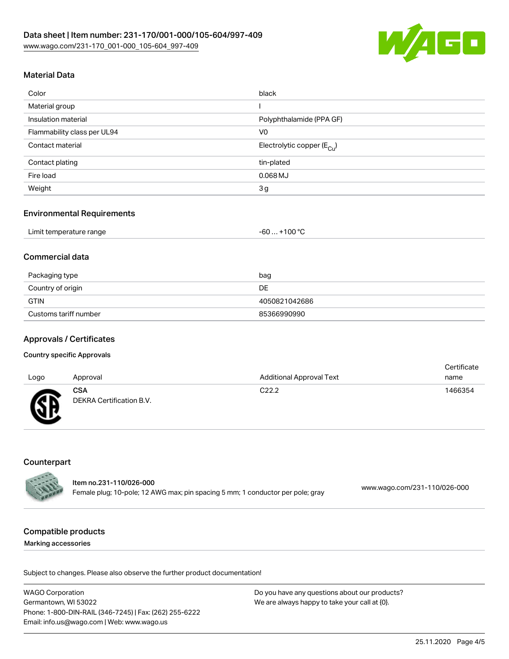

# Material Data

| Color                       | black                                  |
|-----------------------------|----------------------------------------|
| Material group              |                                        |
| Insulation material         | Polyphthalamide (PPA GF)               |
| Flammability class per UL94 | V <sub>0</sub>                         |
| Contact material            | Electrolytic copper (E <sub>Cu</sub> ) |
| Contact plating             | tin-plated                             |
| Fire load                   | $0.068$ MJ                             |
| Weight                      | 3 <sub>g</sub>                         |

#### Environmental Requirements

| Limit temperature range<br>-60 | $. +100 °C$ |
|--------------------------------|-------------|
|--------------------------------|-------------|

## Commercial data

| Packaging type        | bag           |
|-----------------------|---------------|
| Country of origin     | DE.           |
| <b>GTIN</b>           | 4050821042686 |
| Customs tariff number | 85366990990   |

#### Approvals / Certificates

#### Country specific Approvals

| Logo         | Approval                               | <b>Additional Approval Text</b> | Certificate<br>name |
|--------------|----------------------------------------|---------------------------------|---------------------|
| $\mathbb{C}$ | <b>CSA</b><br>DEKRA Certification B.V. | C <sub>22.2</sub>               | 1466354             |

### **Counterpart**

|               | Item no.231-110/026-000                                                        |                              |
|---------------|--------------------------------------------------------------------------------|------------------------------|
| <b>CALLES</b> | Female plug; 10-pole; 12 AWG max; pin spacing 5 mm; 1 conductor per pole; gray | www.wago.com/231-110/026-000 |

#### Compatible products

Marking accessories

Subject to changes. Please also observe the further product documentation!

WAGO Corporation Germantown, WI 53022 Phone: 1-800-DIN-RAIL (346-7245) | Fax: (262) 255-6222 Email: info.us@wago.com | Web: www.wago.us Do you have any questions about our products? We are always happy to take your call at {0}.